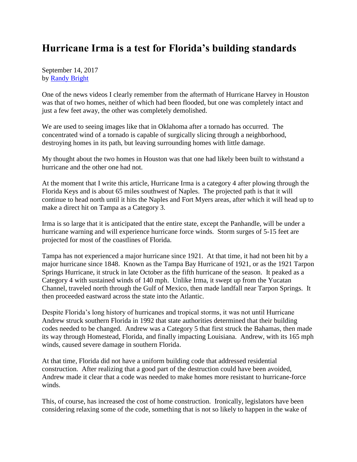## **Hurricane Irma is a test for Florida's building standards**

September 14, 2017 by [Randy Bright](http://tulsabeacon.com/writers/randy-bright/)

One of the news videos I clearly remember from the aftermath of Hurricane Harvey in Houston was that of two homes, neither of which had been flooded, but one was completely intact and just a few feet away, the other was completely demolished.

We are used to seeing images like that in Oklahoma after a tornado has occurred. The concentrated wind of a tornado is capable of surgically slicing through a neighborhood, destroying homes in its path, but leaving surrounding homes with little damage.

My thought about the two homes in Houston was that one had likely been built to withstand a hurricane and the other one had not.

At the moment that I write this article, Hurricane Irma is a category 4 after plowing through the Florida Keys and is about 65 miles southwest of Naples. The projected path is that it will continue to head north until it hits the Naples and Fort Myers areas, after which it will head up to make a direct hit on Tampa as a Category 3.

Irma is so large that it is anticipated that the entire state, except the Panhandle, will be under a hurricane warning and will experience hurricane force winds. Storm surges of 5-15 feet are projected for most of the coastlines of Florida.

Tampa has not experienced a major hurricane since 1921. At that time, it had not been hit by a major hurricane since 1848. Known as the Tampa Bay Hurricane of 1921, or as the 1921 Tarpon Springs Hurricane, it struck in late October as the fifth hurricane of the season. It peaked as a Category 4 with sustained winds of 140 mph. Unlike Irma, it swept up from the Yucatan Channel, traveled north through the Gulf of Mexico, then made landfall near Tarpon Springs. It then proceeded eastward across the state into the Atlantic.

Despite Florida's long history of hurricanes and tropical storms, it was not until Hurricane Andrew struck southern Florida in 1992 that state authorities determined that their building codes needed to be changed. Andrew was a Category 5 that first struck the Bahamas, then made its way through Homestead, Florida, and finally impacting Louisiana. Andrew, with its 165 mph winds, caused severe damage in southern Florida.

At that time, Florida did not have a uniform building code that addressed residential construction. After realizing that a good part of the destruction could have been avoided, Andrew made it clear that a code was needed to make homes more resistant to hurricane-force winds.

This, of course, has increased the cost of home construction. Ironically, legislators have been considering relaxing some of the code, something that is not so likely to happen in the wake of